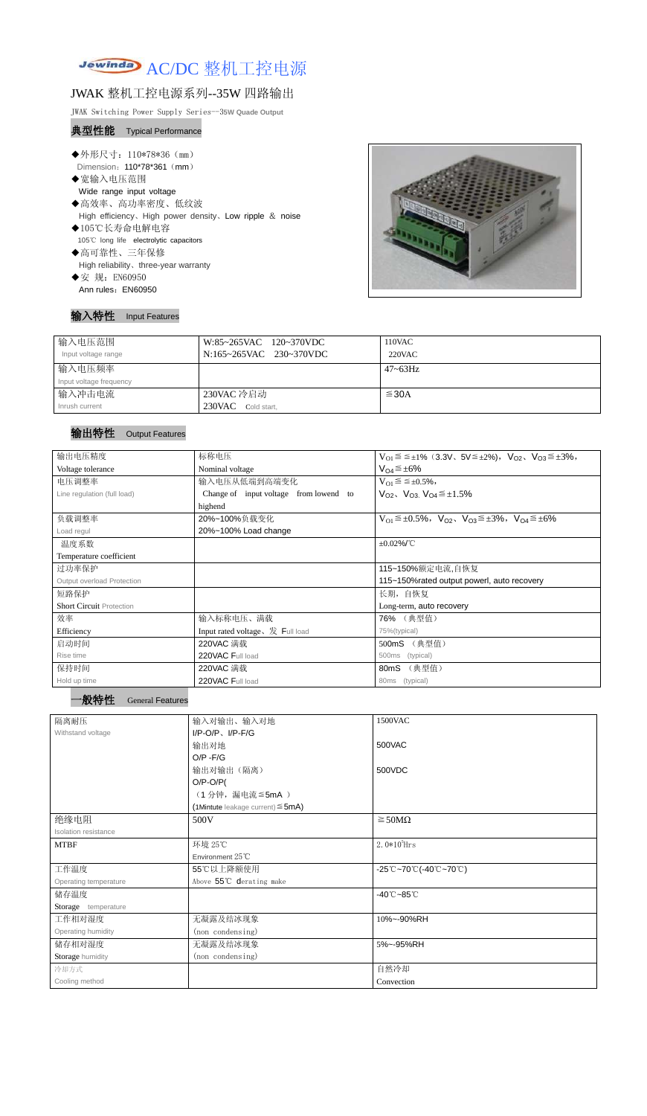

# JWAK 整机工控电源系列--35W 四路输出

JWAK Switching Power Supply Series--3**5W Quade Output**

#### 典型性能 Typical Performance

◆外形尺寸: 110\*78\*36 (mm) Dimension: 110\*78\*361 (mm) ◆宽输入电压范围 Wide range input voltage ◆高效率、高功率密度、低纹波 High efficiency、High power density、Low ripple & noise ◆105℃长寿命电解电容 105℃ long life electrolytic capacitors ◆高可靠性、三年保修 High reliability、three-year warranty ◆安 规: EN60950



### 输入特性 Input Features

Ann rules: EN60950

| 输入电压范围<br>Input voltage range | W:85~265VAC 120~370VDC<br>N:165~265VAC 230~370VDC | 110VAC<br>220VAC |
|-------------------------------|---------------------------------------------------|------------------|
| 输入电压频率                        |                                                   | $47 \sim 63$ Hz  |
| Input voltage frequency       |                                                   |                  |
| 输入冲击电流                        | 230VAC 冷启动                                        | $\leq$ 30A       |
| Inrush current                | 230VAC Cold start,                                |                  |

### 输出特性 Output Features



| 输出电压精度                          | 标称电压                                                                                    | $V_{O1} \le \le \pm 1\%$ (3.3V, $5V \le \pm 2\%$ ), $V_{O2}$ , $V_{O3} \le \pm 3\%$ , |  |  |
|---------------------------------|-----------------------------------------------------------------------------------------|---------------------------------------------------------------------------------------|--|--|
| Voltage tolerance               | Nominal voltage                                                                         | $V_{O4} \leq \pm 6\%$                                                                 |  |  |
| 电压调整率                           | 输入电压从低端到高端变化                                                                            | $V_{O1} \leq \leq \pm 0.5\%,$                                                         |  |  |
| Line regulation (full load)     | $V_{O2}$ , $V_{O3}$ , $V_{O4} \leq \pm 1.5\%$<br>Change of input voltage from lowend to |                                                                                       |  |  |
|                                 | highend                                                                                 |                                                                                       |  |  |
| 负载调整率                           | 20%~100%负载变化                                                                            | $V_{O1} \leq \pm 0.5\%$ , $V_{O2}$ , $V_{O3} \leq \pm 3\%$ , $V_{O4} \leq \pm 6\%$    |  |  |
| Load regul                      | 20%~100% Load change                                                                    |                                                                                       |  |  |
| 温度系数                            |                                                                                         | $\pm 0.02\%$ /°C                                                                      |  |  |
| Temperature coefficient         |                                                                                         |                                                                                       |  |  |
| 过功率保护                           | 115~150%额定电流,自恢复                                                                        |                                                                                       |  |  |
| Output overload Protection      | 115~150% rated output powerl, auto recovery                                             |                                                                                       |  |  |
| 短路保护                            | 长期, 自恢复                                                                                 |                                                                                       |  |  |
| <b>Short Circuit Protection</b> |                                                                                         | Long-term, auto recovery                                                              |  |  |
| 效率                              | 输入标称电压、满载                                                                               | 76% (典型值)                                                                             |  |  |
| Efficiency                      | Input rated voltage, $\frac{1}{\mathcal{K}}$ Full load                                  | 75%(typical)                                                                          |  |  |
| 启动时间                            | 220VAC 满载                                                                               | (典型值)<br>500mS                                                                        |  |  |
| Rise time                       | 220VAC Full load                                                                        | 500ms<br>(typical)                                                                    |  |  |
| 保持时间                            | 220VAC 满载                                                                               | (典型值)<br>80mS                                                                         |  |  |
| Hold up time                    | 220VAC Full load                                                                        | 80ms<br>(typical)                                                                     |  |  |

| 隔离耐压                  | 输入对输出、输入对地                             | 1500VAC                                                                               |  |  |
|-----------------------|----------------------------------------|---------------------------------------------------------------------------------------|--|--|
| Withstand voltage     | $I/P-O/P$ , $I/P-F/G$                  |                                                                                       |  |  |
|                       | 输出对地                                   | 500VAC                                                                                |  |  |
|                       | $O/P - F/G$                            |                                                                                       |  |  |
|                       | 输出对输出(隔离)                              | 500VDC                                                                                |  |  |
|                       | $O/P-O/P($                             |                                                                                       |  |  |
|                       | (1分钟,漏电流 ≦5mA)                         |                                                                                       |  |  |
|                       | (1Mintute leakage current) $\leq$ 5mA) |                                                                                       |  |  |
| 绝缘电阻                  | 500V                                   | $\geq$ 50M $\Omega$                                                                   |  |  |
| Isolation resistance  |                                        |                                                                                       |  |  |
| <b>MTBF</b>           | 环境 25℃                                 | $2.0*105$ Hrs                                                                         |  |  |
|                       | Environment 25°C                       |                                                                                       |  |  |
| 工作温度                  | 55℃以上降额使用                              | $-25^{\circ}\text{C}-70^{\circ}\text{C}$ (-40 $^{\circ}\text{C}-70^{\circ}\text{C}$ ) |  |  |
| Operating temperature | Above 55°C derating make               |                                                                                       |  |  |
| 储存温度                  |                                        | $-40^{\circ}$ C $-85^{\circ}$ C                                                       |  |  |
| Storage temperature   |                                        |                                                                                       |  |  |
| 工作相对湿度                | 无凝露及结冰现象                               | 10%~-90%RH                                                                            |  |  |
| Operating humidity    | (non condensing)                       |                                                                                       |  |  |
| 储存相对湿度                | 无凝露及结冰现象                               | 5%~-95%RH                                                                             |  |  |
| Storage humidity      | (non condensing)                       |                                                                                       |  |  |
| 冷却方式                  |                                        | 自然冷却                                                                                  |  |  |
| Cooling method        |                                        | Convection                                                                            |  |  |